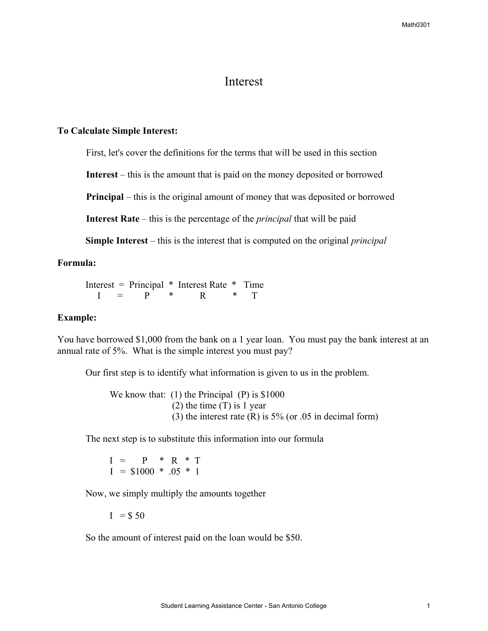# Interest

#### **To Calculate Simple Interest:**

First, let's cover the definitions for the terms that will be used in this section

**Interest** – this is the amount that is paid on the money deposited or borrowed

**Principal** – this is the original amount of money that was deposited or borrowed

**Interest Rate** – this is the percentage of the *principal* that will be paid

**Simple Interest** – this is the interest that is computed on the original *principal*

## **Formula:**

 Interest = Principal \* Interest Rate \* Time  $I = P * R * T$ 

### **Example:**

You have borrowed \$1,000 from the bank on a 1 year loan. You must pay the bank interest at an annual rate of 5%. What is the simple interest you must pay?

Our first step is to identify what information is given to us in the problem.

We know that: (1) the Principal (P) is \$1000  $(2)$  the time  $(T)$  is 1 year (3) the interest rate  $(R)$  is 5% (or .05 in decimal form)

The next step is to substitute this information into our formula

 $I = P * R * T$  $I = $1000 * .05 * 1$ 

Now, we simply multiply the amounts together

 $I = $ 50$ 

So the amount of interest paid on the loan would be \$50.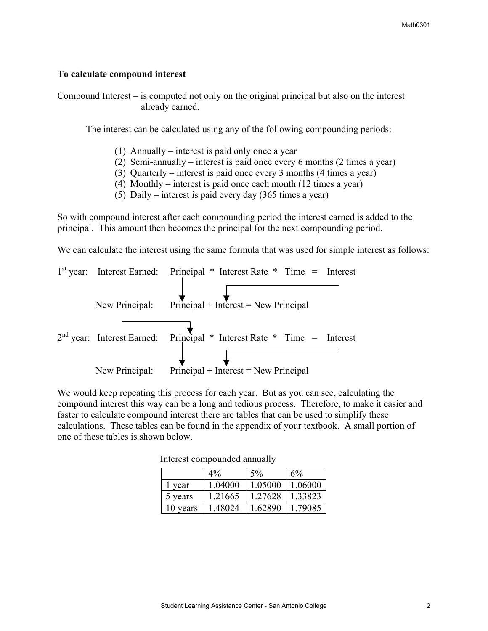### **To calculate compound interest**

Compound Interest – is computed not only on the original principal but also on the interest already earned.

The interest can be calculated using any of the following compounding periods:

- (1) Annually interest is paid only once a year
- (2) Semi-annually interest is paid once every 6 months (2 times a year)
- (3) Quarterly interest is paid once every 3 months (4 times a year)
- (4) Monthly interest is paid once each month (12 times a year)
- (5) Daily interest is paid every day (365 times a year)

So with compound interest after each compounding period the interest earned is added to the principal. This amount then becomes the principal for the next compounding period.

We can calculate the interest using the same formula that was used for simple interest as follows:



We would keep repeating this process for each year. But as you can see, calculating the compound interest this way can be a long and tedious process. Therefore, to make it easier and faster to calculate compound interest there are tables that can be used to simplify these calculations. These tables can be found in the appendix of your textbook. A small portion of one of these tables is shown below.

|          | $4\%$   | 5%      | 6%      |
|----------|---------|---------|---------|
| l year   | 1.04000 | 1.05000 | 1.06000 |
| 5 years  | 1.21665 | 1 27628 | 1.33823 |
| 10 years | 1 48024 | 1.62890 | 1 79085 |

Interest compounded annually